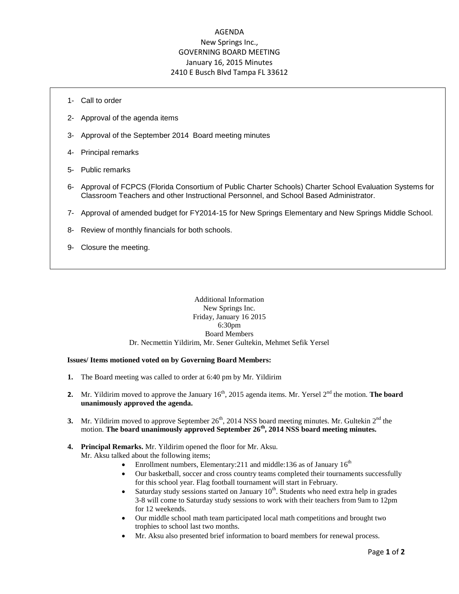# AGENDA New Springs Inc., GOVERNING BOARD MEETING January 16, 2015 Minutes 2410 E Busch Blvd Tampa FL 33612

- 1- Call to order
- 2- Approval of the agenda items
- 3- Approval of the September 2014 Board meeting minutes
- 4- Principal remarks
- 5- Public remarks
- 6- Approval of FCPCS (Florida Consortium of Public Charter Schools) Charter School Evaluation Systems for Classroom Teachers and other Instructional Personnel, and School Based Administrator.
- 7- Approval of amended budget for FY2014-15 for New Springs Elementary and New Springs Middle School.
- 8- Review of monthly financials for both schools.
- 9- Closure the meeting.

### Additional Information New Springs Inc. Friday, January 16 2015 6:30pm Board Members Dr. Necmettin Yildirim, Mr. Sener Gultekin, Mehmet Sefik Yersel

#### **Issues/ Items motioned voted on by Governing Board Members:**

- **1.** The Board meeting was called to order at 6:40 pm by Mr. Yildirim
- **2.** Mr. Yildirim moved to approve the January 16<sup>th</sup>, 2015 agenda items. Mr. Yersel 2<sup>nd</sup> the motion. **The board unanimously approved the agenda.**
- **3.** Mr. Yildirim moved to approve September  $26<sup>th</sup>$ , 2014 NSS board meeting minutes. Mr. Gultekin  $2<sup>nd</sup>$  the motion. **The board unanimously approved September 26th, 2014 NSS board meeting minutes.**

### **4. Principal Remarks.** Mr. Yildirim opened the floor for Mr. Aksu. Mr. Aksu talked about the following items;

- Enrollment numbers, Elementary: 211 and middle: 136 as of January  $16<sup>th</sup>$
- Our basketball, soccer and cross country teams completed their tournaments successfully for this school year. Flag football tournament will start in February.
- Saturday study sessions started on January  $10<sup>th</sup>$ . Students who need extra help in grades 3-8 will come to Saturday study sessions to work with their teachers from 9am to 12pm for 12 weekends.
- Our middle school math team participated local math competitions and brought two trophies to school last two months.
- Mr. Aksu also presented brief information to board members for renewal process.